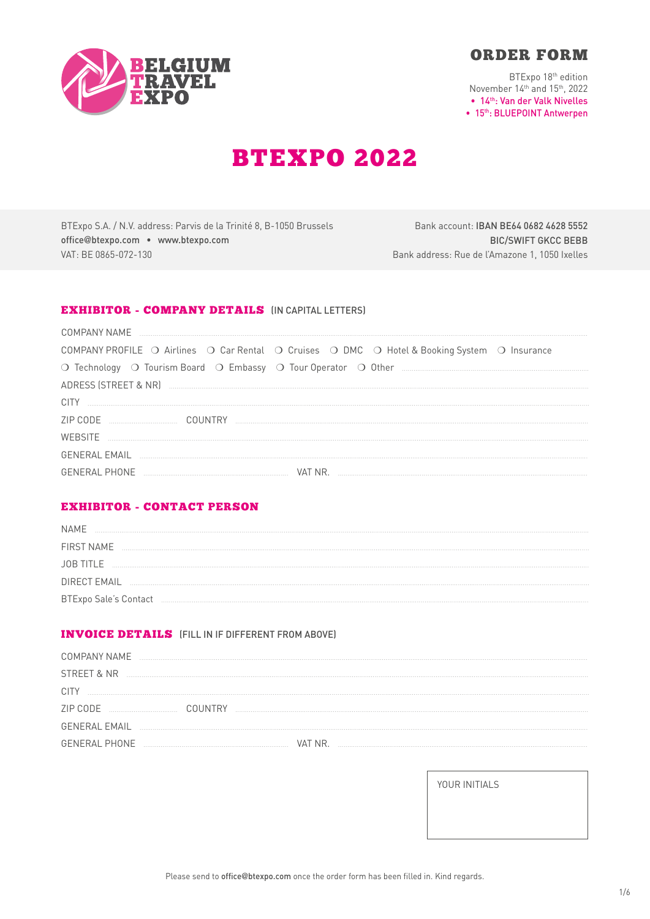



BTExpo 18th edition November 14th and 15th, 2022 . 14th: Van der Valk Nivelles • 15th: BLUEPOINT Antwerpen

# **BTEXPO 2022**

BTExpo S.A. / N.V. address: Parvis de la Trinité 8, B-1050 Brussels office@btexpo.com . www.btexpo.com VAT: BE 0865-072-130

Bank account: IBAN BE64 0682 4628 5552 **BIC/SWIFT GKCC BEBB** Bank address: Rue de l'Amazone 1, 1050 Ixelles

# **EXHIBITOR - COMPANY DETAILS (IN CAPITAL LETTERS)**

| COMPANY NAME                                                                                 |
|----------------------------------------------------------------------------------------------|
| COMPANY PROFILE O Airlines O Car Rental O Cruises O DMC O Hotel & Booking System O Insurance |
|                                                                                              |
|                                                                                              |
| <b>CITY</b>                                                                                  |
| 7IP CODE<br><b>COUNTRY</b>                                                                   |
| WERSITE                                                                                      |
| <b>GENERAL EMAIL</b>                                                                         |
| <b>GENERAL PHONE</b><br>VAT NR.                                                              |

# **EXHIBITOR - CONTACT PERSON**

| <b>NAME</b>                  |  |
|------------------------------|--|
| <b>FIRST NAME</b>            |  |
| <b>JOB TITLE</b>             |  |
| <b>DIRECT EMAIL</b>          |  |
| <b>BTExpo Sale's Contact</b> |  |

# **INVOICE DETAILS** (FILL IN IF DIFFERENT FROM ABOVE)

| <b>COMPANY NAME</b>  |  |  |
|----------------------|--|--|
| STREET & NR          |  |  |
| <b>CITY</b>          |  |  |
| ZIP CODE<br>COUNTRY  |  |  |
| <b>GENERAL EMAIL</b> |  |  |
| <b>GENERAL PHONE</b> |  |  |

YOUR INITIALS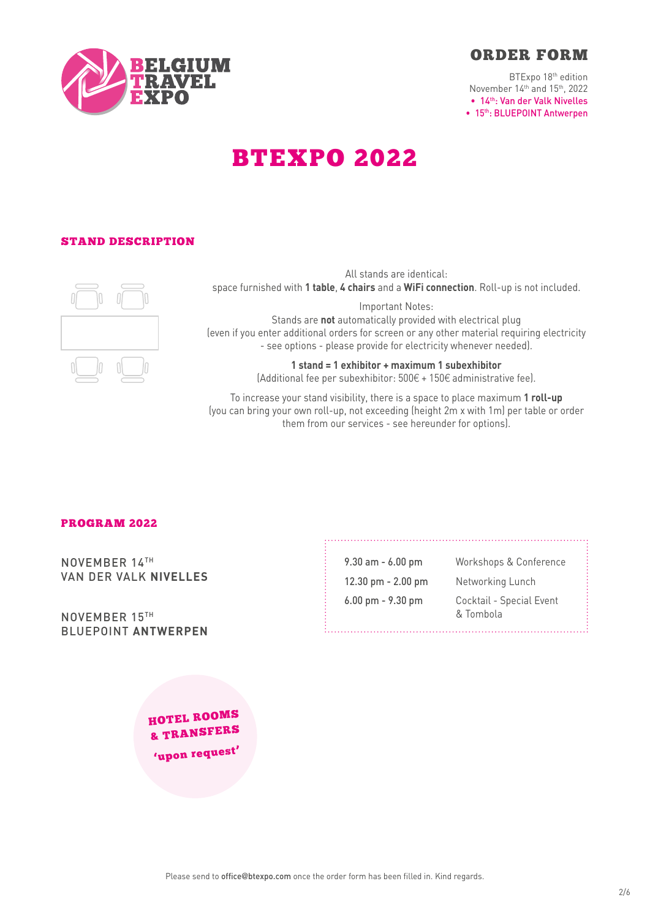

BTExpo 18th edition November 14th and 15th, 2022 • 14th: Van der Valk Nivelles • 15<sup>th</sup>: BLUEPOINT Antwerpen

# BTEXPO 2022

# STAND DESCRIPTION



All stands are identical: space furnished with **1 table**, **4 chairs** and a **WiFi connection**. Roll-up is not included.

Important Notes: Stands are **not** automatically provided with electrical plug (even if you enter additional orders for screen or any other material requiring electricity - see options - please provide for electricity whenever needed).

> **1 stand = 1 exhibitor + maximum 1 subexhibitor**  (Additional fee per subexhibitor: 500€ + 150€ administrative fee).

To increase your stand visibility, there is a space to place maximum **1 roll-up** (you can bring your own roll-up, not exceeding (height 2m x with 1m) per table or order them from our services - see hereunder for options).

# PROGRAM 2022

NOVEMBER 14TH VAN DER VALK **NIVELLES**

NOVEMBER 15TH BLUEPOINT **ANTWERPEN**

9.30 am - 6.00 pm Workshops & Conference 12.30 pm - 2.00 pm Networking Lunch 6.00 pm - 9.30 pm Cocktail - Special Event & Tombola

HOTEL ROOMS & TRANSFERS 'upon reques<sup>t</sup>'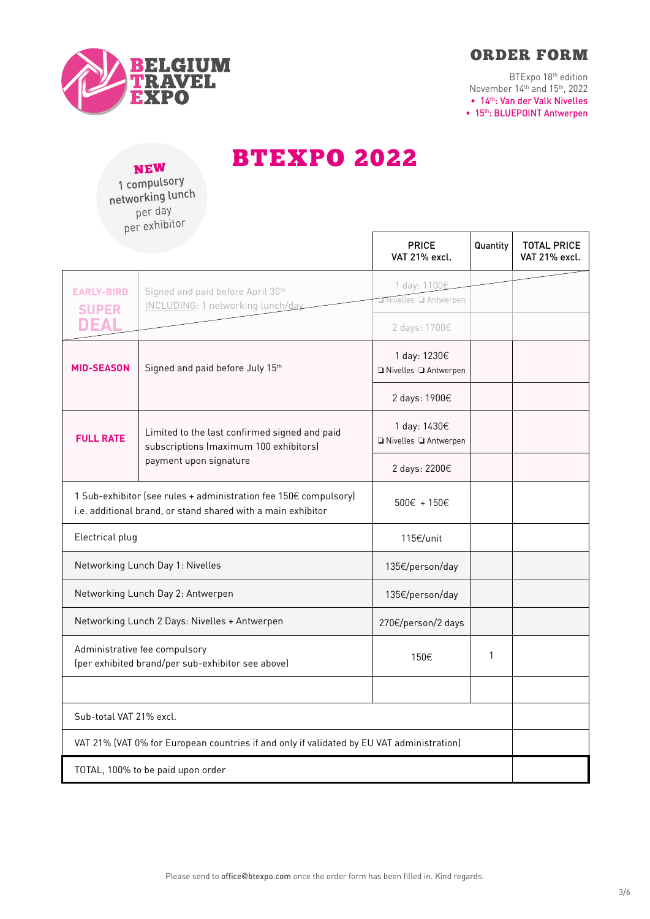



BTExpo 18th edition November 14th and 15th, 2022 • 14th: Van der Valk Nivelles • 15<sup>th</sup>: BLUEPOINT Antwerpen

NEW 1 compulsory networking lunch per day per exhibitor

BTEXPO 2022

| $P^{\sim}$                                                                                                                       |                                                                                                                   | <b>PRICE</b><br>VAT 21% excl.                         | Quantity | <b>TOTAL PRICE</b><br>VAT 21% excl. |
|----------------------------------------------------------------------------------------------------------------------------------|-------------------------------------------------------------------------------------------------------------------|-------------------------------------------------------|----------|-------------------------------------|
| <b>EARLY-BIRD</b><br><b>SUPER</b><br><b>DEAL</b>                                                                                 | Signed and paid before April 30th<br>INCLUDING: 1 networking lunch/day                                            | 1 day: 1100€<br>Nivelles Q Antwerpen<br>2 days: 1700€ |          |                                     |
| <b>MID-SEASON</b>                                                                                                                | Signed and paid before July 15th                                                                                  | 1 day: 1230€<br>□ Nivelles □ Antwerpen                |          |                                     |
|                                                                                                                                  |                                                                                                                   | 2 days: 1900€                                         |          |                                     |
| <b>FULL RATE</b>                                                                                                                 | Limited to the last confirmed signed and paid<br>subscriptions (maximum 100 exhibitors)<br>payment upon signature | 1 day: 1430€<br>□ Nivelles □ Antwerpen                |          |                                     |
|                                                                                                                                  |                                                                                                                   | 2 days: 2200€                                         |          |                                     |
| 1 Sub-exhibitor (see rules + administration fee 150€ compulsory)<br>i.e. additional brand, or stand shared with a main exhibitor |                                                                                                                   | $500 \in + 150 \in$                                   |          |                                     |
| Electrical plug                                                                                                                  |                                                                                                                   | 115€/unit                                             |          |                                     |
| Networking Lunch Day 1: Nivelles                                                                                                 |                                                                                                                   | 135€/person/day                                       |          |                                     |
| Networking Lunch Day 2: Antwerpen                                                                                                |                                                                                                                   | 135€/person/day                                       |          |                                     |
| Networking Lunch 2 Days: Nivelles + Antwerpen                                                                                    |                                                                                                                   | 270€/person/2 days                                    |          |                                     |
| Administrative fee compulsory<br>(per exhibited brand/per sub-exhibitor see above)                                               |                                                                                                                   | 150€                                                  | 1        |                                     |
|                                                                                                                                  |                                                                                                                   |                                                       |          |                                     |
| Sub-total VAT 21% excl.                                                                                                          |                                                                                                                   |                                                       |          |                                     |
| VAT 21% (VAT 0% for European countries if and only if validated by EU VAT administration)                                        |                                                                                                                   |                                                       |          |                                     |
| TOTAL, 100% to be paid upon order                                                                                                |                                                                                                                   |                                                       |          |                                     |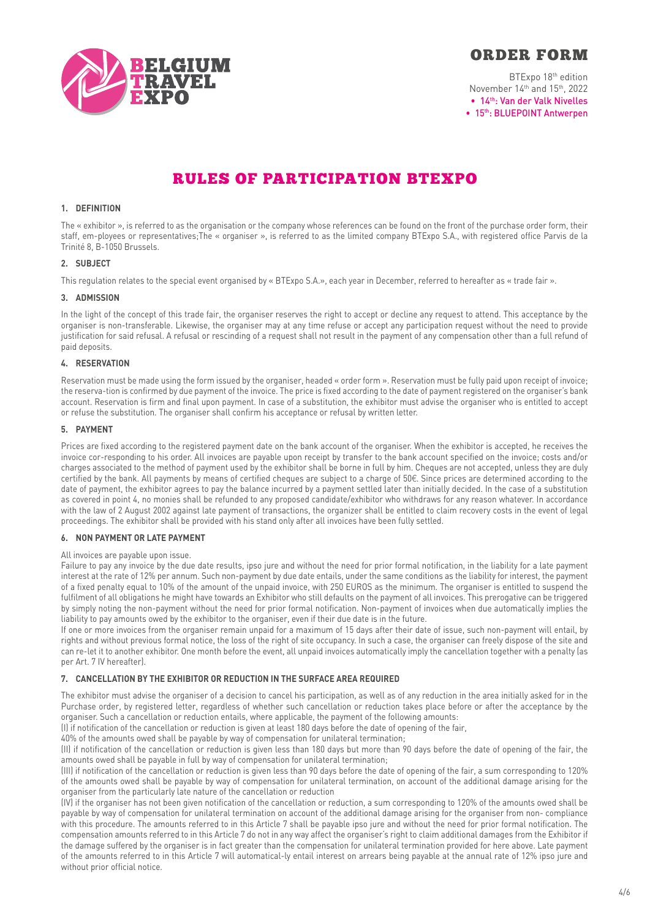

BTExpo 18th edition November 14th and 15th, 2022 • 14th: Van der Valk Nivelles • 15<sup>th</sup>: BLUEPOINT Antwerpen

# RULES OF PARTICIPATION BTEXPO

# **1. DEFINITION**

The « exhibitor », is referred to as the organisation or the company whose references can be found on the front of the purchase order form, their staff, em-ployees or representatives;The « organiser », is referred to as the limited company BTExpo S.A., with registered office Parvis de la Trinité 8, B-1050 Brussels.

# **2. SUBJECT**

This regulation relates to the special event organised by « BTExpo S.A.», each year in December, referred to hereafter as « trade fair ».

### **3. ADMISSION**

In the light of the concept of this trade fair, the organiser reserves the right to accept or decline any request to attend. This acceptance by the organiser is non-transferable. Likewise, the organiser may at any time refuse or accept any participation request without the need to provide justification for said refusal. A refusal or rescinding of a request shall not result in the payment of any compensation other than a full refund of paid deposits.

### **4. RESERVATION**

Reservation must be made using the form issued by the organiser, headed « order form ». Reservation must be fully paid upon receipt of invoice; the reserva-tion is confirmed by due payment of the invoice. The price is fixed according to the date of payment registered on the organiser's bank account. Reservation is firm and final upon payment. In case of a substitution, the exhibitor must advise the organiser who is entitled to accept or refuse the substitution. The organiser shall confirm his acceptance or refusal by written letter.

# **5. PAYMENT**

Prices are fixed according to the registered payment date on the bank account of the organiser. When the exhibitor is accepted, he receives the invoice cor-responding to his order. All invoices are payable upon receipt by transfer to the bank account specified on the invoice; costs and/or charges associated to the method of payment used by the exhibitor shall be borne in full by him. Cheques are not accepted, unless they are duly certified by the bank. All payments by means of certified cheques are subject to a charge of 50€. Since prices are determined according to the date of payment, the exhibitor agrees to pay the balance incurred by a payment settled later than initially decided. In the case of a substitution as covered in point 4, no monies shall be refunded to any proposed candidate/exhibitor who withdraws for any reason whatever. In accordance with the law of 2 August 2002 against late payment of transactions, the organizer shall be entitled to claim recovery costs in the event of legal proceedings. The exhibitor shall be provided with his stand only after all invoices have been fully settled.

### **6. NON PAYMENT OR LATE PAYMENT**

## All invoices are payable upon issue.

Failure to pay any invoice by the due date results, ipso jure and without the need for prior formal notification, in the liability for a late payment interest at the rate of 12% per annum. Such non-payment by due date entails, under the same conditions as the liability for interest, the payment of a fixed penalty equal to 10% of the amount of the unpaid invoice, with 250 EUROS as the minimum. The organiser is entitled to suspend the fulfilment of all obligations he might have towards an Exhibitor who still defaults on the payment of all invoices. This prerogative can be triggered by simply noting the non-payment without the need for prior formal notification. Non-payment of invoices when due automatically implies the liability to pay amounts owed by the exhibitor to the organiser, even if their due date is in the future.

If one or more invoices from the organiser remain unpaid for a maximum of 15 days after their date of issue, such non-payment will entail, by rights and without previous formal notice, the loss of the right of site occupancy. In such a case, the organiser can freely dispose of the site and can re-let it to another exhibitor. One month before the event, all unpaid invoices automatically imply the cancellation together with a penalty (as per Art. 7 IV hereafter).

# **7. CANCELLATION BY THE EXHIBITOR OR REDUCTION IN THE SURFACE AREA REQUIRED**

The exhibitor must advise the organiser of a decision to cancel his participation, as well as of any reduction in the area initially asked for in the Purchase order, by registered letter, regardless of whether such cancellation or reduction takes place before or after the acceptance by the organiser. Such a cancellation or reduction entails, where applicable, the payment of the following amounts:

(I) if notification of the cancellation or reduction is given at least 180 days before the date of opening of the fair,

40% of the amounts owed shall be payable by way of compensation for unilateral termination;

(II) if notification of the cancellation or reduction is given less than 180 days but more than 90 days before the date of opening of the fair, the amounts owed shall be payable in full by way of compensation for unilateral termination;

(III) if notification of the cancellation or reduction is given less than 90 days before the date of opening of the fair, a sum corresponding to 120% of the amounts owed shall be payable by way of compensation for unilateral termination, on account of the additional damage arising for the organiser from the particularly late nature of the cancellation or reduction

(IV) if the organiser has not been given notification of the cancellation or reduction, a sum corresponding to 120% of the amounts owed shall be payable by way of compensation for unilateral termination on account of the additional damage arising for the organiser from non- compliance with this procedure. The amounts referred to in this Article 7 shall be payable ipso jure and without the need for prior formal notification. The compensation amounts referred to in this Article 7 do not in any way affect the organiser's right to claim additional damages from the Exhibitor if the damage suffered by the organiser is in fact greater than the compensation for unilateral termination provided for here above. Late payment of the amounts referred to in this Article 7 will automatical-ly entail interest on arrears being payable at the annual rate of 12% ipso jure and without prior official notice.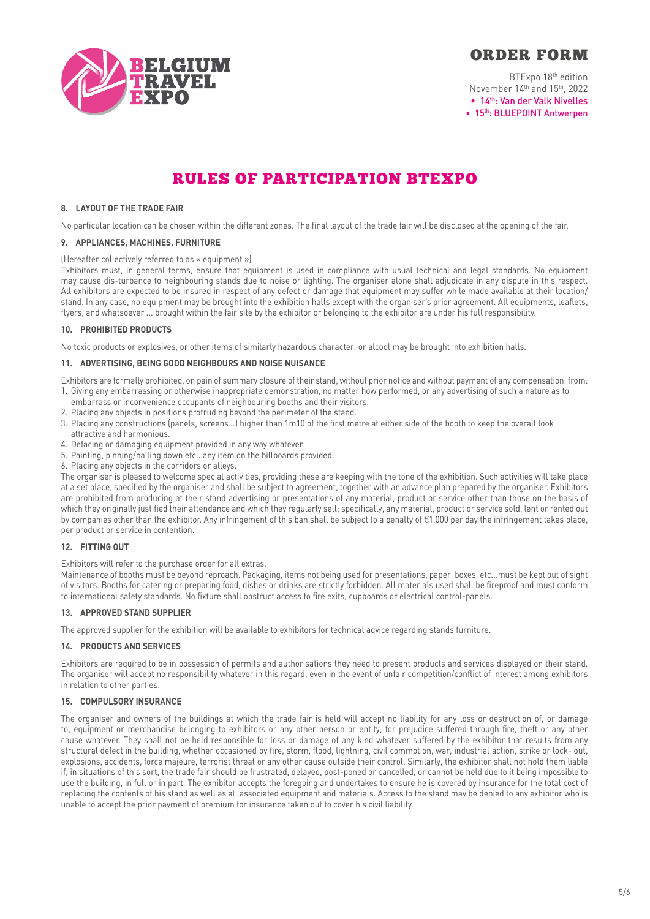

BTExpo 18th edition November 14<sup>th</sup> and 15<sup>th</sup>, 2022 • 14th: Van der Valk Nivelles • 15<sup>th</sup>: BLUEPOINT Antwerpen

# RULES OF PARTICIPATION BTEXPO

# **8. LAYOUT OF THE TRADE FAIR**

No particular location can be chosen within the different zones. The final layout of the trade fair will be disclosed at the opening of the fair.

### **9. APPLIANCES, MACHINES, FURNITURE**

### (Hereafter collectively referred to as « equipment »)

Exhibitors must, in general terms, ensure that equipment is used in compliance with usual technical and legal standards. No equipment may cause dis-turbance to neighbouring stands due to noise or lighting. The organiser alone shall adjudicate in any dispute in this respect. All exhibitors are expected to be insured in respect of any defect or damage that equipment may suffer while made available at their location/ stand. In any case, no equipment may be brought into the exhibition halls except with the organiser's prior agreement. All equipments, leaflets, flyers, and whatsoever ... brought within the fair site by the exhibitor or belonging to the exhibitor are under his full responsibility.

# **10. PROHIBITED PRODUCTS**

No toxic products or explosives, or other items of similarly hazardous character, or alcool may be brought into exhibition halls.

# **11. ADVERTISING, BEING GOOD NEIGHBOURS AND NOISE NUISANCE**

Exhibitors are formally prohibited, on pain of summary closure of their stand, without prior notice and without payment of any compensation, from: 1. Giving any embarrassing or otherwise inappropriate demonstration, no matter how performed, or any advertising of such a nature as to

- embarrass or inconvenience occupants of neighbouring booths and their visitors.
- 2. Placing any objects in positions protruding beyond the perimeter of the stand.
- 3. Placing any constructions (panels, screens...) higher than 1m10 of the first metre at either side of the booth to keep the overall look attractive and harmonious.
- 4. Defacing or damaging equipment provided in any way whatever.
- 5. Painting, pinning/nailing down etc...any item on the billboards provided.
- 6. Placing any objects in the corridors or alleys.

The organiser is pleased to welcome special activities, providing these are keeping with the tone of the exhibition. Such activities will take place at a set place, specified by the organiser and shall be subject to agreement, together with an advance plan prepared by the organiser. Exhibitors are prohibited from producing at their stand advertising or presentations of any material, product or service other than those on the basis of which they originally justified their attendance and which they regularly sell; specifically, any material, product or service sold, lent or rented out by companies other than the exhibitor. Any infringement of this ban shall be subject to a penalty of €1,000 per day the infringement takes place, per product or service in contention.

## **12. FITTING OUT**

Exhibitors will refer to the purchase order for all extras.

Maintenance of booths must be beyond reproach. Packaging, items not being used for presentations, paper, boxes, etc...must be kept out of sight of visitors. Booths for catering or preparing food, dishes or drinks are strictly forbidden. All materials used shall be fireproof and must conform to international safety standards. No fixture shall obstruct access to fire exits, cupboards or electrical control-panels.

# **13. APPROVED STAND SUPPLIER**

The approved supplier for the exhibition will be available to exhibitors for technical advice regarding stands furniture.

### **14. PRODUCTS AND SERVICES**

Exhibitors are required to be in possession of permits and authorisations they need to present products and services displayed on their stand. The organiser will accept no responsibility whatever in this regard, even in the event of unfair competition/conflict of interest among exhibitors in relation to other parties.

### **15. COMPULSORY INSURANCE**

The organiser and owners of the buildings at which the trade fair is held will accept no liability for any loss or destruction of, or damage to, equipment or merchandise belonging to exhibitors or any other person or entity, for prejudice suffered through fire, theft or any other cause whatever. They shall not be held responsible for loss or damage of any kind whatever suffered by the exhibitor that results from any structural defect in the building, whether occasioned by fire, storm, flood, lightning, civil commotion, war, industrial action, strike or lock- out, explosions, accidents, force majeure, terrorist threat or any other cause outside their control. Similarly, the exhibitor shall not hold them liable if, in situations of this sort, the trade fair should be frustrated, delayed, post-poned or cancelled, or cannot be held due to it being impossible to use the building, in full or in part. The exhibitor accepts the foregoing and undertakes to ensure he is covered by insurance for the total cost of replacing the contents of his stand as well as all associated equipment and materials. Access to the stand may be denied to any exhibitor who is unable to accept the prior payment of premium for insurance taken out to cover his civil liability.